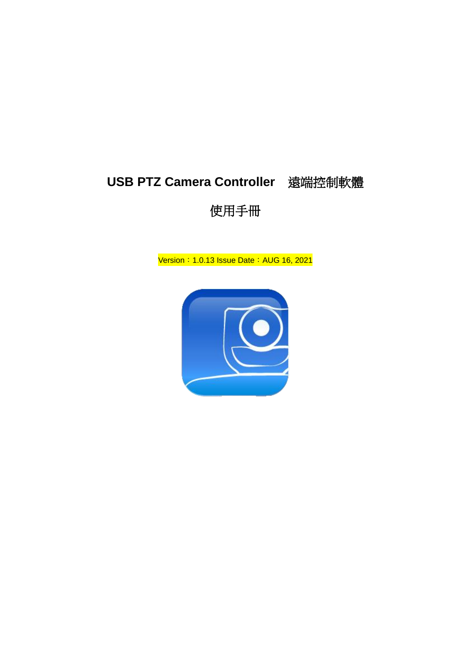# **USB PTZ Camera Controller** 遠端控制軟體

## 使用手冊

Version: 1.0.13 Issue Date: AUG 16, 2021

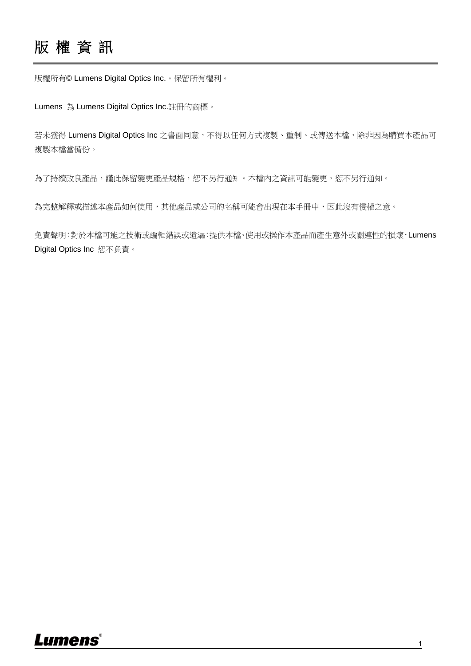## 版 權 資 訊

版權所有© Lumens Digital Optics Inc.。保留所有權利。

Lumens 為 Lumens Digital Optics Inc.註冊的商標。

若未獲得 Lumens Digital Optics Inc 之書面同意,不得以任何方式複製、重制、或傳送本檔,除非因為購買本產品可 複製本檔當備份。

為了持續改良產品,這能保留變更產品規格,恕不另行通知。本檔內之資訊可能變更,恕不另行通知。

為完整解釋或描述本產品如何使用,其他產品或公司的名稱可能會出現在本手冊中,因此沒有侵權之意。

免責聲明:對於本檔可能之技術或編輯錯誤或遺漏;提供本檔、使用或操作本產品而產生意外或關連性的損壞,Lumens Digital Optics Inc 恕不負責。

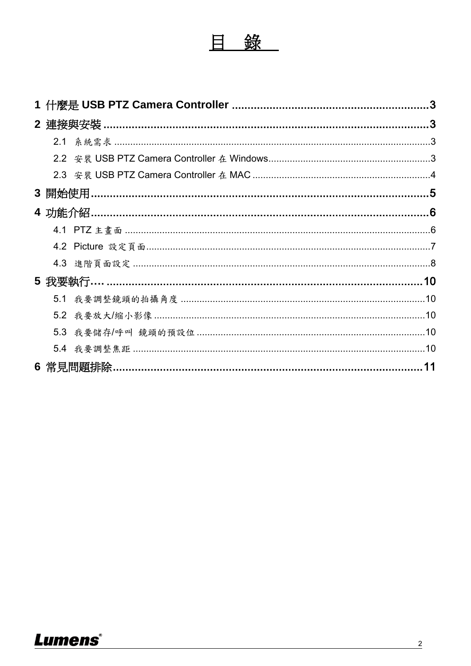|     | 5 我要執行………………………………………………………………………………………10   |  |  |
|-----|---------------------------------------------|--|--|
| 5.1 | 我要調整鏡頭的拍攝角度 ……………………………………………………………………………10 |  |  |
| 5.2 |                                             |  |  |
|     |                                             |  |  |
|     |                                             |  |  |
|     |                                             |  |  |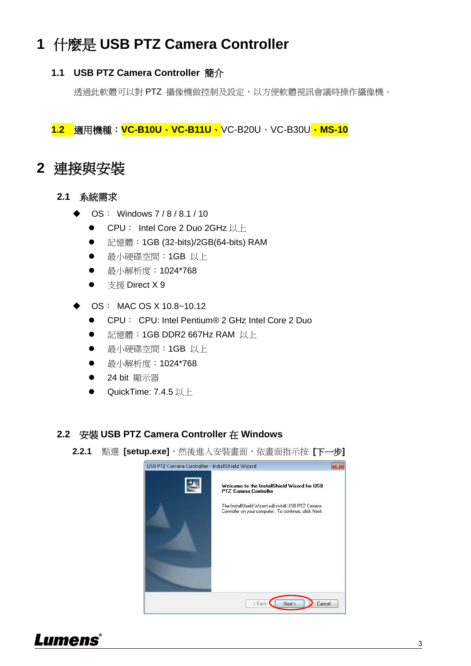# <span id="page-3-0"></span>**1** 什麼是 **USB PTZ Camera Controller**

## **1.1 USB PTZ Camera Controller** 簡介

透過此軟體可以對 PTZ 攝像機做控制及設定,以方便軟體視訊會議時操作攝像機。

**1.2** 適用機種:**VC-B10U**、**VC-B11U**、VC-B20U、VC-B30U、**MS-10**

## <span id="page-3-1"></span>**2** 連接與安裝

- <span id="page-3-2"></span>**2.1** 系統需求
	- OS: Windows 7 / 8 / 8.1 / 10
		- CPU: Intel Core 2 Duo 2GHz 以上
		- 記憶體:1GB (32-bits)/2GB(64-bits) RAM
		- 最小硬碟空間:1GB 以上
		- 最小解析度:1024\*768
		- 支援 Direct X 9
	- OS: MAC OS X 10.8~10.12
		- CPU: CPU: Intel Pentium® 2 GHz Intel Core 2 Duo
		- 記憶體:1GB DDR2 667Hz RAM 以上
		- 最小硬碟空間:1GB 以上
		- 最小解析度:1024\*768
		- 24 bit 顯示器
		- QuickTime: 7.4.5 以上

### <span id="page-3-3"></span>**2.2** 安裝 **USB PTZ Camera Controller** 在 **Windows**

**2.2.1** 點選 **[setup.exe]**,然後進入安裝畫面,依畫面指示按 **[**下一步**]**



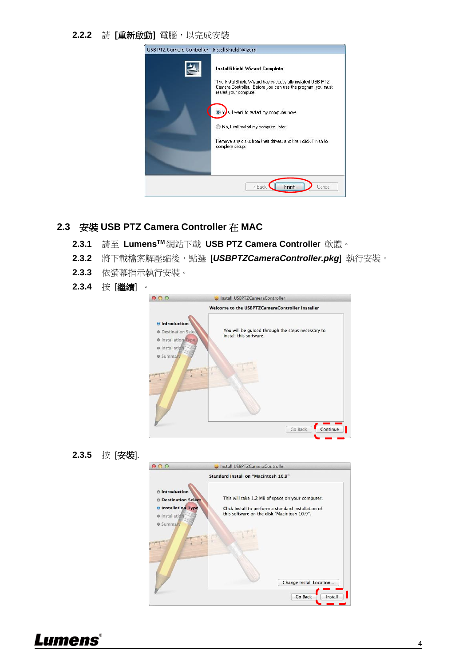#### **2.2.2** 請 **[**重新啟動**]** 電腦,以完成安裝

| USB PTZ Camera Controller - InstallShield Wizard |                                                                                                                                                                                                                                                                                                                                                                   |  |
|--------------------------------------------------|-------------------------------------------------------------------------------------------------------------------------------------------------------------------------------------------------------------------------------------------------------------------------------------------------------------------------------------------------------------------|--|
|                                                  | <b>InstallShield Wizard Complete</b><br>The InstallShield Wizard has successfully installed USB PTZ<br>Camera Controller. Before you can use the program, you must<br>restart your computer.<br>s, I want to restart my computer now.<br>No, I will restart my computer later.<br>Remove any disks from their drives, and then click Finish to<br>complete setup. |  |
| Finish<br>< Back<br>Cancel                       |                                                                                                                                                                                                                                                                                                                                                                   |  |

### <span id="page-4-0"></span>**2.3** 安裝 **USB PTZ Camera Controller** 在 **MAC**

- **2.3.1** 請至 **LumensTM** 網站下載 **USB PTZ Camera Controlle**r 軟體。
- **2.3.2** 將下載檔案解壓縮後,點選 [*USBPTZCameraController.pkg*] 執行安裝。
- **2.3.3** 依螢幕指示執行安裝。
- **2.3.4** 按 [繼續] 。



**2.3.5** 按 [安裝].



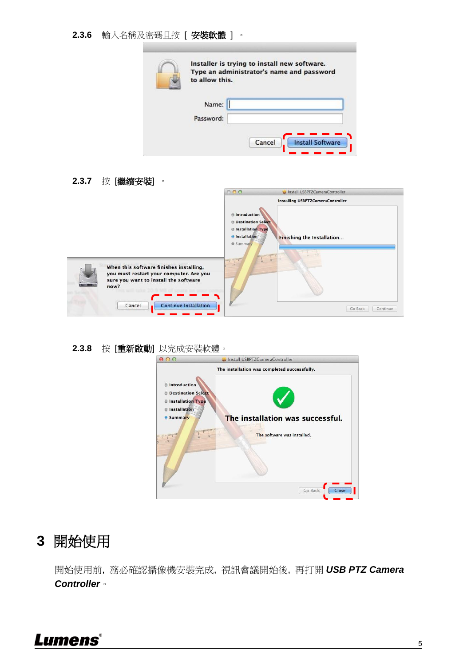**2.3.6** 輸入名稱及密碼且按 [ 安裝軟體 ] 。

| Type an administrator's name and password<br>to allow this. |  |
|-------------------------------------------------------------|--|
| Name:                                                       |  |
| Password:                                                   |  |

**2.3.7** 按 [繼續安裝] 。



### **2.3.8** 按 [重新啟動] 以完成安裝軟體。

| Install USBPTZCameraController                                                                                                                                          |
|-------------------------------------------------------------------------------------------------------------------------------------------------------------------------|
| The installation was completed successfully.<br>The installation was successful.<br><b>Contact Indianal Division</b><br>The software was installed.<br>Go Back<br>Close |
|                                                                                                                                                                         |

## <span id="page-5-0"></span>**3** 開始使用

開始使用前, 務必確認攝像機安裝完成, 視訊會議開始後, 再打開 *USB PTZ Camera Controller*。

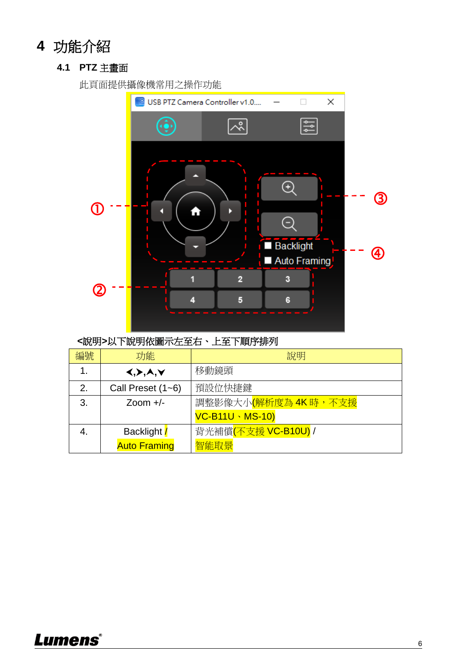# <span id="page-6-1"></span><span id="page-6-0"></span>**4** 功能介紹

## **4.1 PTZ** 主畫面

此頁面提供攝像機常用之操作功能



## **<**說明**>**以下說明依圖示左至右、上至下順序排列

| 編號 | 功能                                    | 說明                                |
|----|---------------------------------------|-----------------------------------|
| 1. | $\langle , \rangle, \lambda, \forall$ | 移動鏡頭                              |
| 2. | Call Preset (1~6)                     | 預設位快捷鍵                            |
| 3. | Zoom $+/-$                            | 調整影像大小(解析度為 4K 時,不支援              |
|    |                                       | <b>VC-B11U · MS-10)</b>           |
|    | Backlight /                           | 背光補償 <mark>(不支援 VC-B10U)</mark> / |
|    | <b>Auto Framing</b>                   | 智能取景                              |

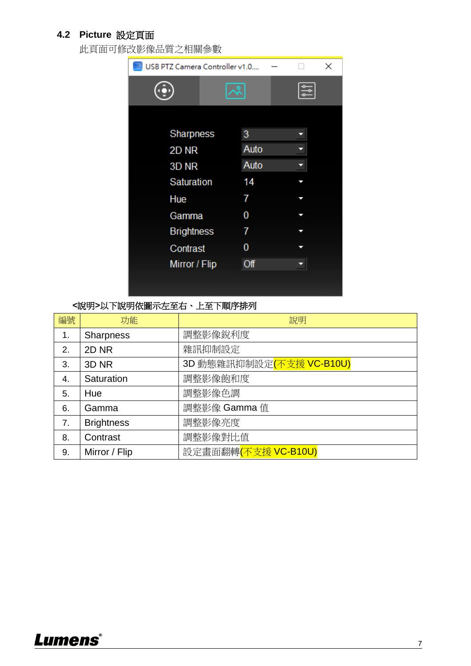## <span id="page-7-0"></span>**4.2 Picture** 設定頁面

此頁面可修改影像品質之相關參數

| USB PTZ Camera Controller v1.0<br>× |   |      |  |  |
|-------------------------------------|---|------|--|--|
|                                     | ۰ |      |  |  |
|                                     |   |      |  |  |
| Sharpness                           |   | 3    |  |  |
| 2D <sub>NR</sub>                    |   | Auto |  |  |
| 3D <sub>NR</sub>                    |   | Auto |  |  |
| Saturation                          |   | 14   |  |  |
| Hue                                 |   | 7    |  |  |
| Gamma                               |   | 0    |  |  |
| <b>Brightness</b>                   |   | 7    |  |  |
| Contrast                            |   | 0    |  |  |
| Mirror / Flip                       |   | Off  |  |  |
|                                     |   |      |  |  |
|                                     |   |      |  |  |

**<**說明**>**以下說明依圖示左至右、上至下順序排列

| 編號 | 功能                | 說明                       |
|----|-------------------|--------------------------|
| 1. | <b>Sharpness</b>  | 調整影像銳利度                  |
| 2. | 2D <sub>NR</sub>  | 雜訊抑制設定                   |
| 3. | 3D <sub>NR</sub>  | 3D 動態雜訊抑制設定(不支援 VC-B10U) |
| 4. | Saturation        | 調整影像飽和度                  |
| 5. | Hue               | 調整影像色調                   |
| 6. | Gamma             | 調整影像 Gamma值              |
| 7. | <b>Brightness</b> | 調整影像亮度                   |
| 8. | Contrast          | 調整影像對比值                  |
| 9. | Mirror / Flip     | 設定畫面翻轉(不支援 VC-B10U)      |

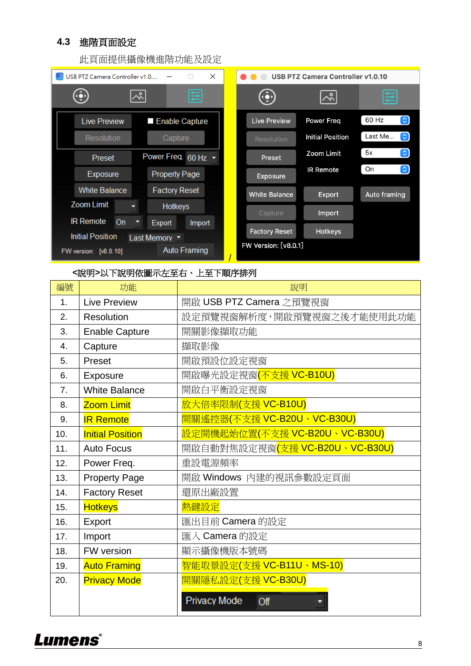## <span id="page-8-0"></span>**4.3** 進階頁面設定

此頁面提供攝像機進階功能及設定

| $\times$<br>USB PTZ Camera Controller v1.0<br><b>I</b>                                        | <b>USB PTZ Camera Controller v1.0.10</b>                                        |  |
|-----------------------------------------------------------------------------------------------|---------------------------------------------------------------------------------|--|
| 들<br>ペ<br>$\mathbf{\Omega}$                                                                   | ≌<br>ペ                                                                          |  |
| <b>Live Preview</b><br>Enable Capture                                                         | $\left[\mathbf{c}\right]$<br>60 Hz<br><b>Power Freq</b><br><b>Live Preview</b>  |  |
| <b>Resolution</b><br>Capture                                                                  | $\ddot{\bm{\omega}}$<br>Last Me<br><b>Initial Position</b><br><b>Resolution</b> |  |
| Power Freq. 60 Hz -<br>Preset                                                                 | $\boxed{\mathbf{c}}$<br>5x<br>Zoom Limit<br>Preset                              |  |
| <b>Property Page</b><br><b>Exposure</b>                                                       | $ \mathbf{c} $<br>On<br><b>IR Remote</b><br><b>Exposure</b>                     |  |
| <b>White Balance</b><br><b>Factory Reset</b>                                                  | <b>White Balance</b><br>Auto framing<br><b>Export</b>                           |  |
| <b>Zoom Limit</b><br><b>Hotkeys</b>                                                           | Capture<br>Import                                                               |  |
| <b>IR Remote</b><br><b>On</b><br>Export<br>Import                                             | <b>Factory Reset</b><br><b>Hotkeys</b>                                          |  |
| <b>Initial Position</b><br>Last Memory<br><b>Auto Framing</b><br><b>FW version: [v8.0.10]</b> | FW Version: [v8.0.1]                                                            |  |

### **<**說明**>**以下說明依圖示左至右、上至下順序排列

| 編號             | 功能                      | 說明                                  |
|----------------|-------------------------|-------------------------------------|
| 1 <sub>1</sub> | <b>Live Preview</b>     | 開啟 USB PTZ Camera 之預覽視窗             |
| 2.             | Resolution              | 設定預覽視窗解析度,開啟預覽視窗之後才能使用此功能           |
| 3.             | <b>Enable Capture</b>   | 開關影像擷取功能                            |
| 4.             | Capture                 | 擷取影像                                |
| 5.             | Preset                  | 開啟預設位設定視窗                           |
| 6.             | Exposure                | 開啟曝光設定視窗 <mark>(不支援 VC-B10U)</mark> |
| 7 <sub>1</sub> | <b>White Balance</b>    | 開啟白平衡設定視窗                           |
| 8.             | <b>Zoom Limit</b>       | 放大倍率限制(支援 VC-B10U)                  |
| 9.             | <b>IR Remote</b>        | 開關遙控器(不支援 VC-B20U、VC-B30U)          |
| 10.            | <b>Initial Position</b> | 設定開機起始位置(不支援 VC-B20U、VC-B30U)       |
| 11.            | <b>Auto Focus</b>       | 開啟自動對焦設定視窗(支援 VC-B20U、VC-B30U)      |
| 12.            | Power Freq.             | 重設電源頻率                              |
| 13.            | <b>Property Page</b>    | 開啟 Windows 內建的視訊參數設定頁面              |
| 14.            | <b>Factory Reset</b>    | 還原出廠設置                              |
| 15.            | <b>Hotkeys</b>          | 熱鍵設定                                |
| 16.            | Export                  | 匯出目前 Camera 的設定                     |
| 17.            | Import                  | 匯入 Camera 的設定                       |
| 18.            | FW version              | 顯示攝像機版本號碼                           |
| 19.            | <b>Auto Framing</b>     | 智能取景設定(支援 VC-B11U、MS-10)            |
| 20.            | <b>Privacy Mode</b>     | 開關隱私設定(支援 VC-B30U)                  |
|                |                         | Privacy Mode<br>Off                 |

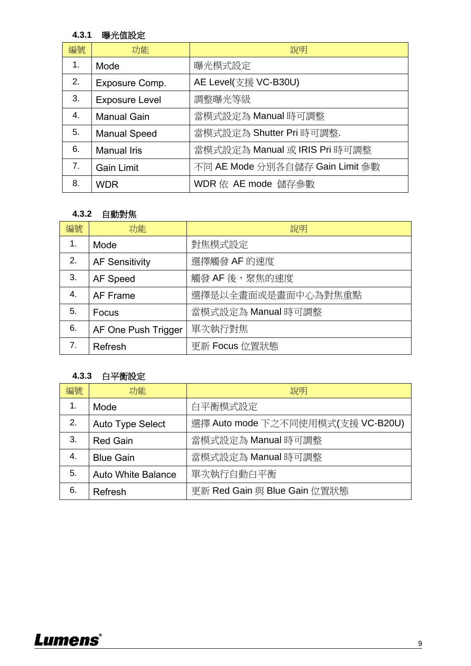### **4.3.1** 曝光值設定

| 編號               | 功能                    | 說明                              |
|------------------|-----------------------|---------------------------------|
| 1.               | Mode                  | 曝光模式設定                          |
| 2.               | Exposure Comp.        | AE Level(支援 VC-B30U)            |
| 3.               | <b>Exposure Level</b> | 調整曝光等級                          |
| $\overline{4}$ . | <b>Manual Gain</b>    | 當模式設定為 Manual 時可調整              |
| 5.               | <b>Manual Speed</b>   | 當模式設定為 Shutter Pri 時可調整.        |
| 6.               | <b>Manual Iris</b>    | 當模式設定為 Manual 或 IRIS Pri 時可調整   |
| 7.               | <b>Gain Limit</b>     | 不同 AE Mode 分別各自儲存 Gain Limit 參數 |
| 8.               | <b>WDR</b>            | WDR 依 AE mode 儲存參數              |

## **4.3.2** 自動對焦

| 編號             | 功能                    | 說明                 |
|----------------|-----------------------|--------------------|
| $\mathbf{1}$ . | Mode                  | 對焦模式設定             |
| 2.             | <b>AF Sensitivity</b> | 選擇觸發 AF 的速度        |
| 3.             | AF Speed              | 觸發 AF 後,聚焦的速度      |
| 4.             | AF Frame              | 選擇是以全畫面或是畫面中心為對焦重點 |
| 5.             | Focus                 | 當模式設定為 Manual 時可調整 |
| 6.             | AF One Push Trigger   | 單次執行對焦             |
| 7.             | Refresh               | 更新 Focus 位置狀態      |

### **4.3.3** 白平衡設定

| 編號 | 功能                        | 說明                                |
|----|---------------------------|-----------------------------------|
| 1. | Mode                      | 白平衡模式設定                           |
| 2. | <b>Auto Type Select</b>   | 選擇 Auto mode 下之不同使用模式(支援 VC-B20U) |
| 3. | <b>Red Gain</b>           | 當模式設定為 Manual 時可調整                |
| 4. | <b>Blue Gain</b>          | 當模式設定為 Manual 時可調整                |
| 5. | <b>Auto White Balance</b> | 單次執行自動白平衡                         |
| 6. | Refresh                   | 更新 Red Gain 與 Blue Gain 位置狀態      |

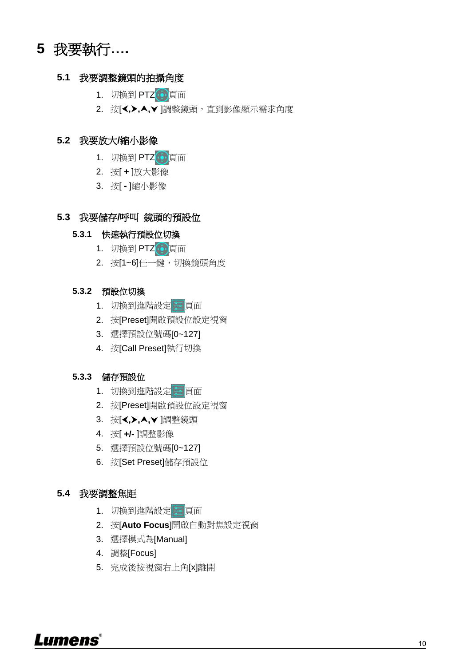# <span id="page-10-0"></span>**5** 我要執行**….**

#### <span id="page-10-1"></span>**5.1** 我要調整鏡頭的拍攝角度

- 1. 切換到 PTZ 更面
- 2. 按[√,▶,▲,▼]調整鏡頭,直到影像顯示需求角度

#### <span id="page-10-2"></span>**5.2** 我要放大**/**[縮小影像](outbind://97/#_Toc196709229)

- 1. 切換到 PTZ 算面
- 2. 按[ **+** ]放大影像
- 3. 按[ **-** ]縮小影像

### <span id="page-10-3"></span>**5.3** 我要儲存**/**呼叫 鏡頭的預設位

#### **5.3.1** 快速執行預設位切換

- 1. 切換到 PTZ 頁面
- 2. 按[1~6]任一鍵,切換鏡頭角度

#### **5.3.2** 預設位切換

- 1. 切換到進階設定 三頁面
- 2. 按[Preset]開啟預設位設定視窗
- 3. 選擇預設位號碼[0~127]
- 4. 按[Call Preset]執行切換

#### **5.3.3** 儲存預設位

- 1. 切換到進階設定 三頁面
- 2. 按[Preset]開啟預設位設定視窗
- 3. 按[≺, **>**, ▲, ▼ ]調整鏡頭
- 4. 按[ **+/-** ]調整影像
- 5. 選擇預設位號碼[0~127]
- 6. 按[Set Preset]儲存預設位

#### <span id="page-10-4"></span>**5.4** 我要調整焦距

- 1. 切換到進階設定 三頁面
- 2. 按[**Auto Focus**]開啟自動對焦設定視窗
- 3. 選擇模式為[Manual]
- 4. 調整[Focus]
- 5. 完成後按視窗右上角[x]離開